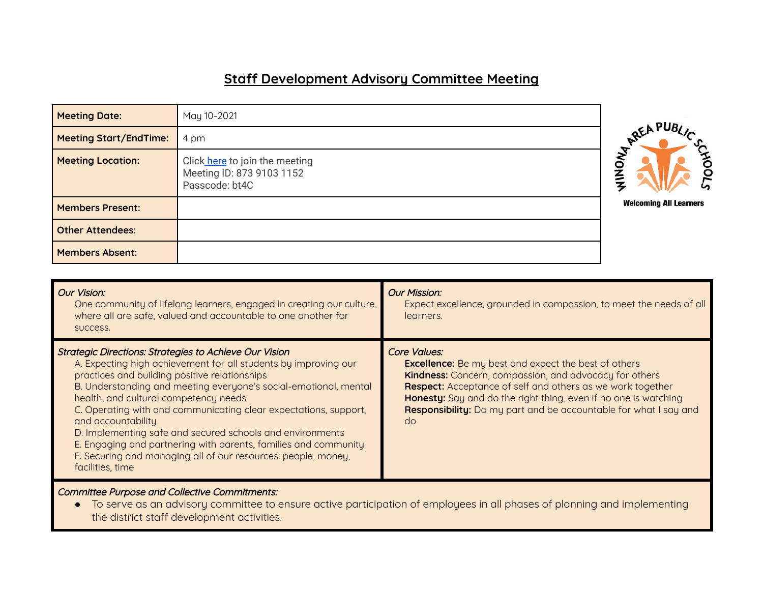## **Staff Development Advisory Committee Meeting**

| <b>Meeting Date:</b>          | May 10-2021                                                                   |                               |
|-------------------------------|-------------------------------------------------------------------------------|-------------------------------|
| <b>Meeting Start/EndTime:</b> | 4 pm                                                                          | REA PUBLIC                    |
| <b>Meeting Location:</b>      | Click here to join the meeting<br>Meeting ID: 873 9103 1152<br>Passcode: bt4C | ջ                             |
| <b>Members Present:</b>       |                                                                               | <b>Welcoming All Learners</b> |
| <b>Other Attendees:</b>       |                                                                               |                               |
| <b>Members Absent:</b>        |                                                                               |                               |

| Our Vision:<br>One community of lifelong learners, engaged in creating our culture,<br>where all are safe, valued and accountable to one another for<br>SUCCESS.                                                                                                                                                                                                                                                                                                                                                                                                                                              | Our Mission:<br>Expect excellence, grounded in compassion, to meet the needs of all<br>learners.                                                                                                                                                                                                                                                               |
|---------------------------------------------------------------------------------------------------------------------------------------------------------------------------------------------------------------------------------------------------------------------------------------------------------------------------------------------------------------------------------------------------------------------------------------------------------------------------------------------------------------------------------------------------------------------------------------------------------------|----------------------------------------------------------------------------------------------------------------------------------------------------------------------------------------------------------------------------------------------------------------------------------------------------------------------------------------------------------------|
| <b>Strategic Directions: Strategies to Achieve Our Vision</b><br>A. Expecting high achievement for all students by improving our<br>practices and building positive relationships<br>B. Understanding and meeting everyone's social-emotional, mental<br>health, and cultural competency needs<br>C. Operating with and communicating clear expectations, support,<br>and accountability<br>D. Implementing safe and secured schools and environments<br>E. Engaging and partnering with parents, families and community<br>F. Securing and managing all of our resources: people, money,<br>facilities, time | Core Values:<br><b>Excellence:</b> Be my best and expect the best of others<br><b>Kindness:</b> Concern, compassion, and advocacy for others<br><b>Respect:</b> Acceptance of self and others as we work together<br>Honesty: Say and do the right thing, even if no one is watching<br>Responsibility: Do my part and be accountable for what I say and<br>do |

Committee Purpose and Collective Commitments:

● To serve as an advisory committee to ensure active participation of employees in all phases of planning and implementing the district staff development activities.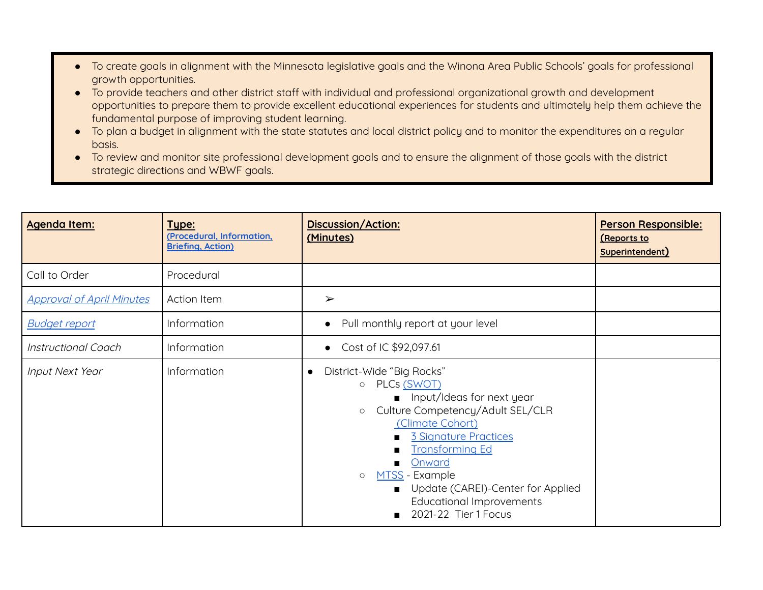- To create goals in alignment with the Minnesota legislative goals and the Winona Area Public Schools' goals for professional growth opportunities.
- To provide teachers and other district staff with individual and professional organizational growth and development opportunities to prepare them to provide excellent educational experiences for students and ultimately help them achieve the fundamental purpose of improving student learning.
- To plan a budget in alignment with the state statutes and local district policy and to monitor the expenditures on a regular basis.
- To review and monitor site professional development goals and to ensure the alignment of those goals with the district strategic directions and WBWF goals.

| Agenda Item:                     | Type:<br>(Procedural, Information,<br><b>Briefing, Action)</b> | Discussion/Action:<br>(Minutes)                                                                                                                                                                                                                                                                                                                                            | Person Responsible:<br>(Reports to<br>Superintendent) |
|----------------------------------|----------------------------------------------------------------|----------------------------------------------------------------------------------------------------------------------------------------------------------------------------------------------------------------------------------------------------------------------------------------------------------------------------------------------------------------------------|-------------------------------------------------------|
| Call to Order                    | Procedural                                                     |                                                                                                                                                                                                                                                                                                                                                                            |                                                       |
| <b>Approval of April Minutes</b> | <b>Action Item</b>                                             | $\blacktriangleright$                                                                                                                                                                                                                                                                                                                                                      |                                                       |
| <b>Budget report</b>             | Information                                                    | Pull monthly report at your level<br>$\bullet$                                                                                                                                                                                                                                                                                                                             |                                                       |
| Instructional Coach              | Information                                                    | Cost of IC \$92,097.61<br>$\bullet$                                                                                                                                                                                                                                                                                                                                        |                                                       |
| <b>Input Next Year</b>           | Information                                                    | District-Wide "Big Rocks"<br>$\bullet$<br>PLCs (SWOT)<br>$\circ$<br><b>n</b> Input/Ideas for next year<br>Culture Competency/Adult SEL/CLR<br>$\circ$<br>(Climate Cohort)<br><b>3 Signature Practices</b><br><b>Transforming Ed</b><br>Onward<br>MTSS - Example<br>$\circ$<br>Update (CAREI)-Center for Applied<br><b>Educational Improvements</b><br>2021-22 Tier 1 Focus |                                                       |